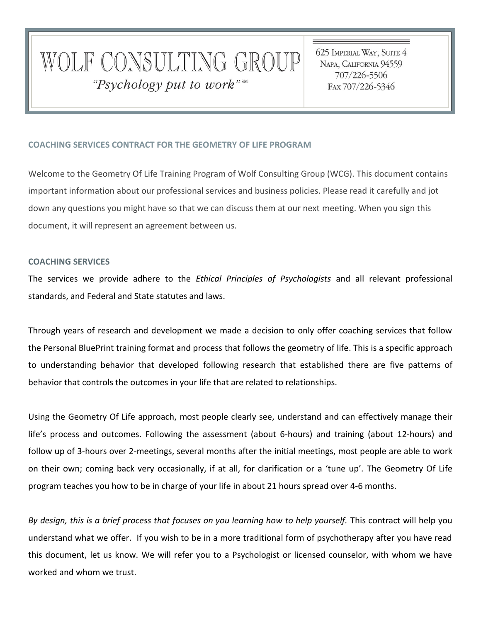# WOLF CONSULTING GROUP "Psychology put to work"<sup>SM</sup>

625 IMPERIAL WAY, SUITE 4 NAPA, CALIFORNIA 94559 707/226-5506 FAX 707/226-5346

# **COACHING SERVICES CONTRACT FOR THE GEOMETRY OF LIFE PROGRAM**

Welcome to the Geometry Of Life Training Program of Wolf Consulting Group (WCG). This document contains important information about our professional services and business policies. Please read it carefully and jot down any questions you might have so that we can discuss them at our next meeting. When you sign this document, it will represent an agreement between us.

# **COACHING SERVICES**

The services we provide adhere to the *Ethical Principles of Psychologists* and all relevant professional standards, and Federal and State statutes and laws.

Through years of research and development we made a decision to only offer coaching services that follow the Personal BluePrint training format and process that follows the geometry of life. This is a specific approach to understanding behavior that developed following research that established there are five patterns of behavior that controls the outcomes in your life that are related to relationships.

Using the Geometry Of Life approach, most people clearly see, understand and can effectively manage their life's process and outcomes. Following the assessment (about 6-hours) and training (about 12-hours) and follow up of 3-hours over 2-meetings, several months after the initial meetings, most people are able to work on their own; coming back very occasionally, if at all, for clarification or a 'tune up'. The Geometry Of Life program teaches you how to be in charge of your life in about 21 hours spread over 4-6 months.

*By design, this is a brief process that focuses on you learning how to help yourself.* This contract will help you understand what we offer. If you wish to be in a more traditional form of psychotherapy after you have read this document, let us know. We will refer you to a Psychologist or licensed counselor, with whom we have worked and whom we trust.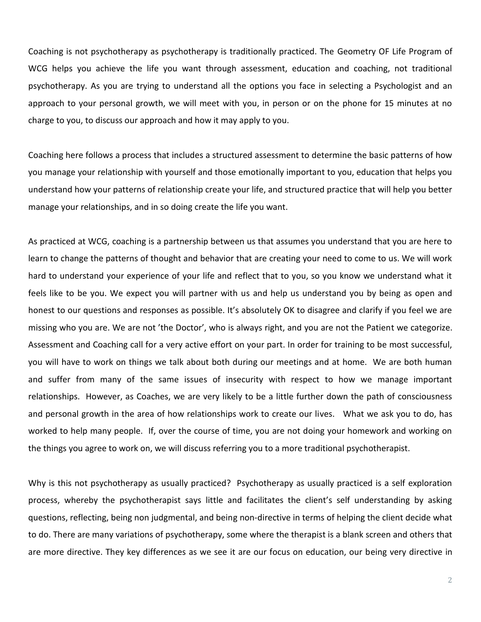Coaching is not psychotherapy as psychotherapy is traditionally practiced. The Geometry OF Life Program of WCG helps you achieve the life you want through assessment, education and coaching, not traditional psychotherapy. As you are trying to understand all the options you face in selecting a Psychologist and an approach to your personal growth, we will meet with you, in person or on the phone for 15 minutes at no charge to you, to discuss our approach and how it may apply to you.

Coaching here follows a process that includes a structured assessment to determine the basic patterns of how you manage your relationship with yourself and those emotionally important to you, education that helps you understand how your patterns of relationship create your life, and structured practice that will help you better manage your relationships, and in so doing create the life you want.

As practiced at WCG, coaching is a partnership between us that assumes you understand that you are here to learn to change the patterns of thought and behavior that are creating your need to come to us. We will work hard to understand your experience of your life and reflect that to you, so you know we understand what it feels like to be you. We expect you will partner with us and help us understand you by being as open and honest to our questions and responses as possible. It's absolutely OK to disagree and clarify if you feel we are missing who you are. We are not 'the Doctor', who is always right, and you are not the Patient we categorize. Assessment and Coaching call for a very active effort on your part. In order for training to be most successful, you will have to work on things we talk about both during our meetings and at home. We are both human and suffer from many of the same issues of insecurity with respect to how we manage important relationships. However, as Coaches, we are very likely to be a little further down the path of consciousness and personal growth in the area of how relationships work to create our lives. What we ask you to do, has worked to help many people. If, over the course of time, you are not doing your homework and working on the things you agree to work on, we will discuss referring you to a more traditional psychotherapist.

Why is this not psychotherapy as usually practiced? Psychotherapy as usually practiced is a self exploration process, whereby the psychotherapist says little and facilitates the client's self understanding by asking questions, reflecting, being non judgmental, and being non-directive in terms of helping the client decide what to do. There are many variations of psychotherapy, some where the therapist is a blank screen and others that are more directive. They key differences as we see it are our focus on education, our being very directive in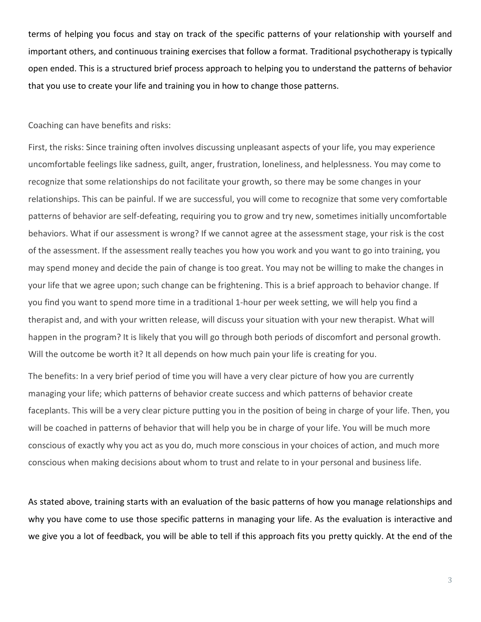terms of helping you focus and stay on track of the specific patterns of your relationship with yourself and important others, and continuous training exercises that follow a format. Traditional psychotherapy is typically open ended. This is a structured brief process approach to helping you to understand the patterns of behavior that you use to create your life and training you in how to change those patterns.

# Coaching can have benefits and risks:

First, the risks: Since training often involves discussing unpleasant aspects of your life, you may experience uncomfortable feelings like sadness, guilt, anger, frustration, loneliness, and helplessness. You may come to recognize that some relationships do not facilitate your growth, so there may be some changes in your relationships. This can be painful. If we are successful, you will come to recognize that some very comfortable patterns of behavior are self-defeating, requiring you to grow and try new, sometimes initially uncomfortable behaviors. What if our assessment is wrong? If we cannot agree at the assessment stage, your risk is the cost of the assessment. If the assessment really teaches you how you work and you want to go into training, you may spend money and decide the pain of change is too great. You may not be willing to make the changes in your life that we agree upon; such change can be frightening. This is a brief approach to behavior change. If you find you want to spend more time in a traditional 1-hour per week setting, we will help you find a therapist and, and with your written release, will discuss your situation with your new therapist. What will happen in the program? It is likely that you will go through both periods of discomfort and personal growth. Will the outcome be worth it? It all depends on how much pain your life is creating for you.

The benefits: In a very brief period of time you will have a very clear picture of how you are currently managing your life; which patterns of behavior create success and which patterns of behavior create faceplants. This will be a very clear picture putting you in the position of being in charge of your life. Then, you will be coached in patterns of behavior that will help you be in charge of your life. You will be much more conscious of exactly why you act as you do, much more conscious in your choices of action, and much more conscious when making decisions about whom to trust and relate to in your personal and business life.

As stated above, training starts with an evaluation of the basic patterns of how you manage relationships and why you have come to use those specific patterns in managing your life. As the evaluation is interactive and we give you a lot of feedback, you will be able to tell if this approach fits you pretty quickly. At the end of the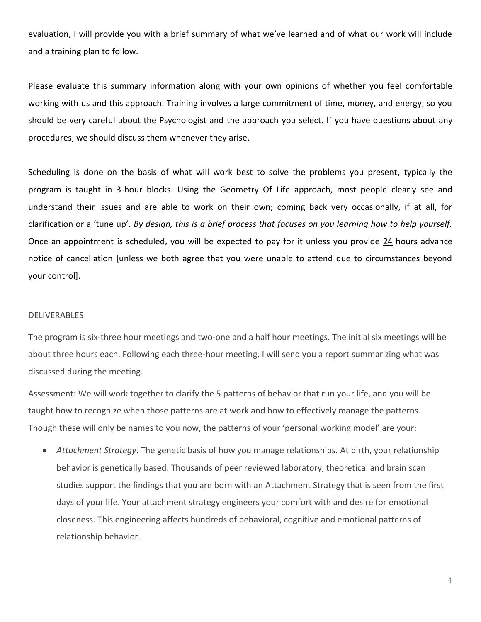evaluation, I will provide you with a brief summary of what we've learned and of what our work will include and a training plan to follow.

Please evaluate this summary information along with your own opinions of whether you feel comfortable working with us and this approach. Training involves a large commitment of time, money, and energy, so you should be very careful about the Psychologist and the approach you select. If you have questions about any procedures, we should discuss them whenever they arise.

Scheduling is done on the basis of what will work best to solve the problems you present, typically the program is taught in 3-hour blocks. Using the Geometry Of Life approach, most people clearly see and understand their issues and are able to work on their own; coming back very occasionally, if at all, for clarification or a 'tune up'. *By design, this is a brief process that focuses on you learning how to help yourself.* Once an appointment is scheduled, you will be expected to pay for it unless you provide 24 hours advance notice of cancellation [unless we both agree that you were unable to attend due to circumstances beyond your control].

## DELIVERABLES

The program is six-three hour meetings and two-one and a half hour meetings. The initial six meetings will be about three hours each. Following each three-hour meeting, I will send you a report summarizing what was discussed during the meeting.

Assessment: We will work together to clarify the 5 patterns of behavior that run your life, and you will be taught how to recognize when those patterns are at work and how to effectively manage the patterns. Though these will only be names to you now, the patterns of your 'personal working model' are your:

 *Attachment Strategy*. The genetic basis of how you manage relationships. At birth, your relationship behavior is genetically based. Thousands of peer reviewed laboratory, theoretical and brain scan studies support the findings that you are born with an Attachment Strategy that is seen from the first days of your life. Your attachment strategy engineers your comfort with and desire for emotional closeness. This engineering affects hundreds of behavioral, cognitive and emotional patterns of relationship behavior.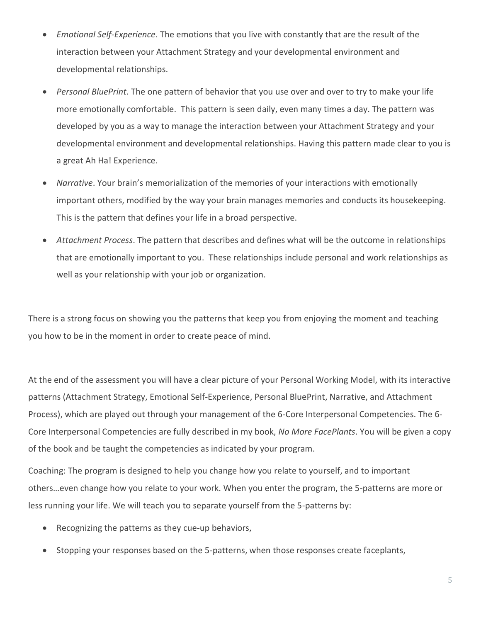- *Emotional Self-Experience*. The emotions that you live with constantly that are the result of the interaction between your Attachment Strategy and your developmental environment and developmental relationships.
- *Personal BluePrint*. The one pattern of behavior that you use over and over to try to make your life more emotionally comfortable. This pattern is seen daily, even many times a day. The pattern was developed by you as a way to manage the interaction between your Attachment Strategy and your developmental environment and developmental relationships. Having this pattern made clear to you is a great Ah Ha! Experience.
- *Narrative*. Your brain's memorialization of the memories of your interactions with emotionally important others, modified by the way your brain manages memories and conducts its housekeeping. This is the pattern that defines your life in a broad perspective.
- *Attachment Process*. The pattern that describes and defines what will be the outcome in relationships that are emotionally important to you. These relationships include personal and work relationships as well as your relationship with your job or organization.

There is a strong focus on showing you the patterns that keep you from enjoying the moment and teaching you how to be in the moment in order to create peace of mind.

At the end of the assessment you will have a clear picture of your Personal Working Model, with its interactive patterns (Attachment Strategy, Emotional Self-Experience, Personal BluePrint, Narrative, and Attachment Process), which are played out through your management of the 6-Core Interpersonal Competencies. The 6- Core Interpersonal Competencies are fully described in my book, *No More FacePlants*. You will be given a copy of the book and be taught the competencies as indicated by your program.

Coaching: The program is designed to help you change how you relate to yourself, and to important others…even change how you relate to your work. When you enter the program, the 5-patterns are more or less running your life. We will teach you to separate yourself from the 5-patterns by:

- Recognizing the patterns as they cue-up behaviors,
- Stopping your responses based on the 5-patterns, when those responses create faceplants,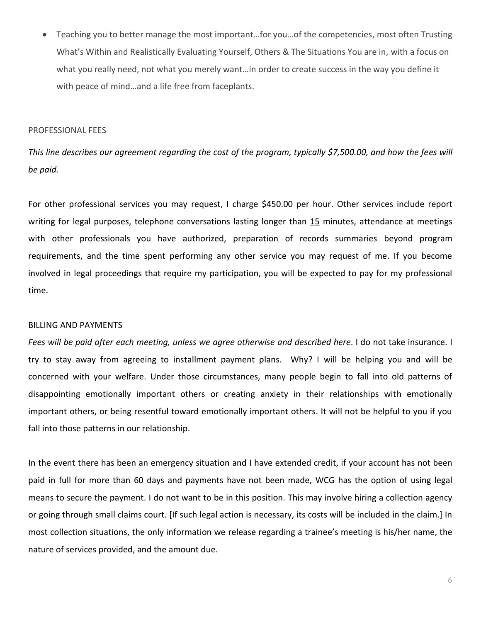Teaching you to better manage the most important…for you…of the competencies, most often Trusting What's Within and Realistically Evaluating Yourself, Others & The Situations You are in, with a focus on what you really need, not what you merely want…in order to create success in the way you define it with peace of mind…and a life free from faceplants.

## PROFESSIONAL FEES

*This line describes our agreement regarding the cost of the program, typically \$7,500.00, and how the fees will be paid.*

For other professional services you may request, I charge \$450.00 per hour. Other services include report writing for legal purposes, telephone conversations lasting longer than 15 minutes, attendance at meetings with other professionals you have authorized, preparation of records summaries beyond program requirements, and the time spent performing any other service you may request of me. If you become involved in legal proceedings that require my participation, you will be expected to pay for my professional time.

#### BILLING AND PAYMENTS

*Fees will be paid after each meeting, unless we agree otherwise and described here*. I do not take insurance. I try to stay away from agreeing to installment payment plans. Why? I will be helping you and will be concerned with your welfare. Under those circumstances, many people begin to fall into old patterns of disappointing emotionally important others or creating anxiety in their relationships with emotionally important others, or being resentful toward emotionally important others. It will not be helpful to you if you fall into those patterns in our relationship.

In the event there has been an emergency situation and I have extended credit, if your account has not been paid in full for more than 60 days and payments have not been made, WCG has the option of using legal means to secure the payment. I do not want to be in this position. This may involve hiring a collection agency or going through small claims court. [If such legal action is necessary, its costs will be included in the claim.] In most collection situations, the only information we release regarding a trainee's meeting is his/her name, the nature of services provided, and the amount due.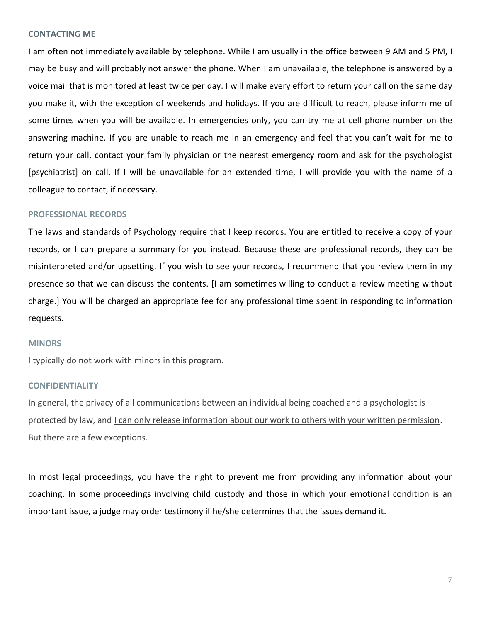## **CONTACTING ME**

I am often not immediately available by telephone. While I am usually in the office between 9 AM and 5 PM, I may be busy and will probably not answer the phone. When I am unavailable, the telephone is answered by a voice mail that is monitored at least twice per day. I will make every effort to return your call on the same day you make it, with the exception of weekends and holidays. If you are difficult to reach, please inform me of some times when you will be available. In emergencies only, you can try me at cell phone number on the answering machine. If you are unable to reach me in an emergency and feel that you can't wait for me to return your call, contact your family physician or the nearest emergency room and ask for the psychologist [psychiatrist] on call. If I will be unavailable for an extended time, I will provide you with the name of a colleague to contact, if necessary.

#### **PROFESSIONAL RECORDS**

The laws and standards of Psychology require that I keep records. You are entitled to receive a copy of your records, or I can prepare a summary for you instead. Because these are professional records, they can be misinterpreted and/or upsetting. If you wish to see your records, I recommend that you review them in my presence so that we can discuss the contents. [I am sometimes willing to conduct a review meeting without charge.] You will be charged an appropriate fee for any professional time spent in responding to information requests.

#### **MINORS**

I typically do not work with minors in this program.

## **CONFIDENTIALITY**

In general, the privacy of all communications between an individual being coached and a psychologist is protected by law, and I can only release information about our work to others with your written permission. But there are a few exceptions.

In most legal proceedings, you have the right to prevent me from providing any information about your coaching. In some proceedings involving child custody and those in which your emotional condition is an important issue, a judge may order testimony if he/she determines that the issues demand it.